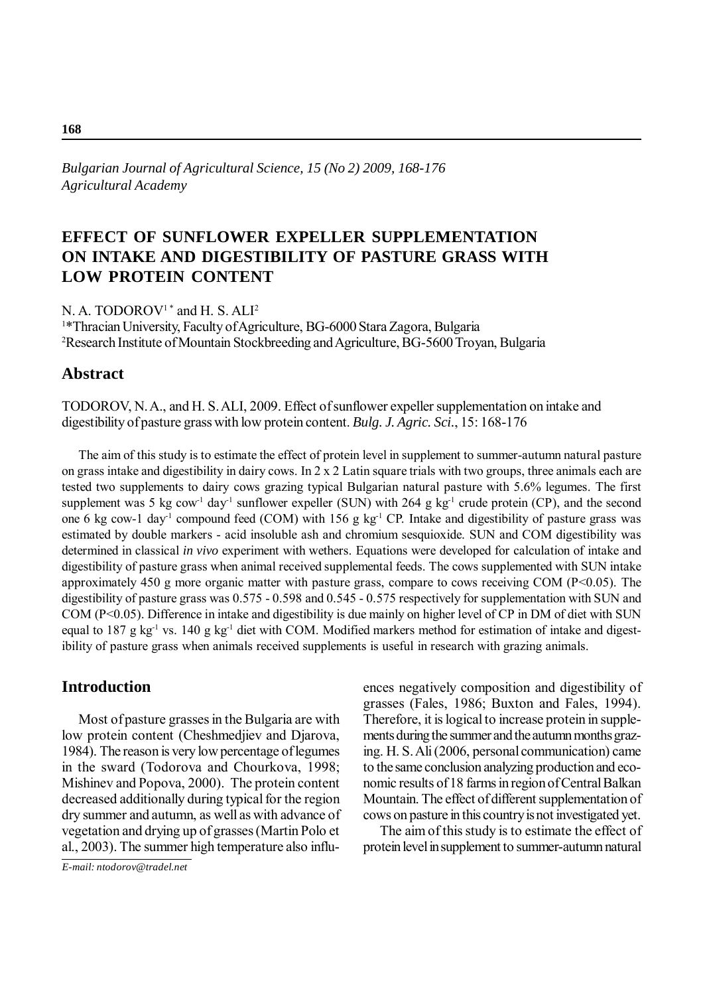# *Bulgarian Journal of Agricultural Science, 15 (No 2) 2009, 168-176 Agricultural Academy*

# **EFFECT OF SUNFLOWER EXPELLER SUPPLEMENTATION ON INTAKE AND DIGESTIBILITY OF PASTURE GRASS WITH LOW PROTEIN CONTENT**

N. A. TODOROV<sup>1\*</sup> and H. S. ALI<sup>2</sup>

1 \*Thracian University, Faculty of Agriculture, BG-6000 Stara Zagora, Bulgaria 2 Research Institute of Mountain Stockbreeding and Agriculture, BG-5600 Troyan, Bulgaria

## **Abstract**

TODOROV, N. A., and H. S. ALI, 2009. Effect of sunflower expeller supplementation on intake and digestibility of pasture grass with low protein content. *Bulg. J. Agric. Sci.*, 15: 168-176

The aim of this study is to estimate the effect of protein level in supplement to summer-autumn natural pasture on grass intake and digestibility in dairy cows. In 2 x 2 Latin square trials with two groups, three animals each are tested two supplements to dairy cows grazing typical Bulgarian natural pasture with 5.6% legumes. The first supplement was 5 kg cow<sup>-1</sup> day<sup>-1</sup> sunflower expeller (SUN) with 264 g kg<sup>-1</sup> crude protein (CP), and the second one 6 kg cow-1 day<sup>-1</sup> compound feed (COM) with 156 g kg<sup>-1</sup> CP. Intake and digestibility of pasture grass was estimated by double markers - acid insoluble ash and chromium sesquioxide. SUN and COM digestibility was determined in classical *in vivo* experiment with wethers. Equations were developed for calculation of intake and digestibility of pasture grass when animal received supplemental feeds. The cows supplemented with SUN intake approximately 450 g more organic matter with pasture grass, compare to cows receiving COM (P<0.05). The digestibility of pasture grass was 0.575 - 0.598 and 0.545 - 0.575 respectively for supplementation with SUN and COM (P<0.05). Difference in intake and digestibility is due mainly on higher level of CP in DM of diet with SUN equal to 187 g kg<sup>-1</sup> vs. 140 g kg<sup>-1</sup> diet with COM. Modified markers method for estimation of intake and digestibility of pasture grass when animals received supplements is useful in research with grazing animals.

# **Introduction**

Most of pasture grasses in the Bulgaria are with low protein content (Cheshmedjiev and Djarova, 1984). The reason is very low percentage of legumes in the sward (Todorova and Chourkova, 1998; Mishinev and Popova, 2000). The protein content decreased additionally during typical for the region dry summer and autumn, as well as with advance of vegetation and drying up of grasses (Martin Polo et al., 2003). The summer high temperature also influ-

*E-mail: ntodorov@tradel.net*

ences negatively composition and digestibility of grasses (Fales, 1986; Buxton and Fales, 1994). Therefore, it is logical to increase protein in supplements during the summer and the autumn months grazing. H. S. Ali (2006, personal communication) came to the same conclusion analyzing production and economic results of 18 farms in region of Central Balkan Mountain. The effect of different supplementation of cows on pasture in this country is not investigated yet.

The aim of this study is to estimate the effect of protein level in supplement to summer-autumn natural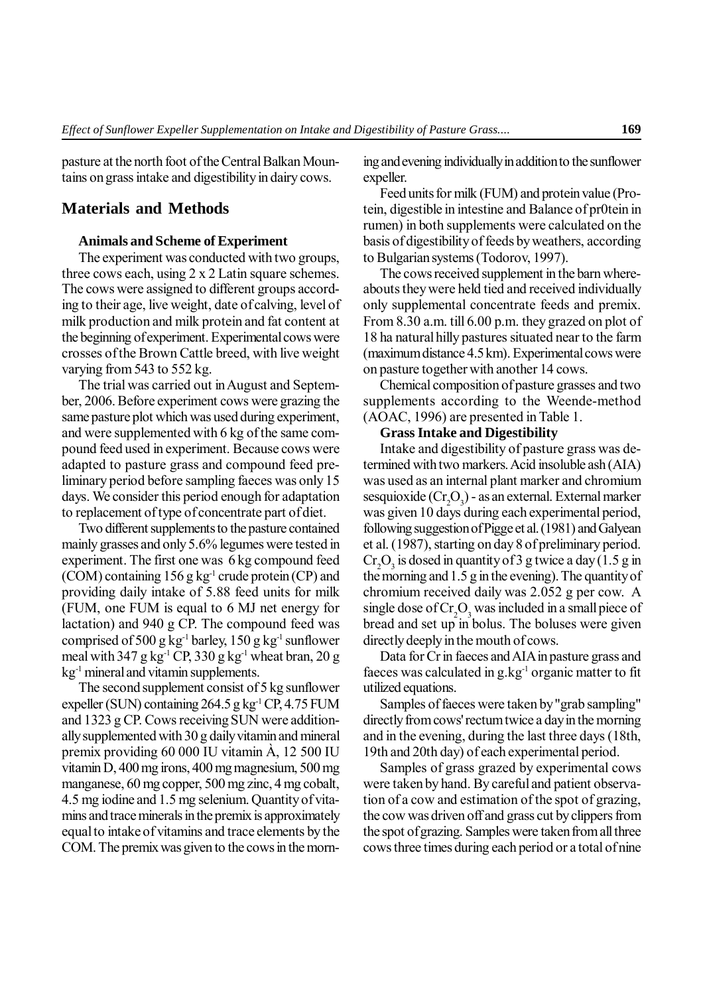pasture at the north foot of the Central Balkan Mountains on grass intake and digestibility in dairy cows.

#### **Materials and Methods**

#### **Animals and Scheme of Experiment**

The experiment was conducted with two groups, three cows each, using 2 x 2 Latin square schemes. The cows were assigned to different groups according to their age, live weight, date of calving, level of milk production and milk protein and fat content at the beginning of experiment. Experimental cows were crosses of the Brown Cattle breed, with live weight varying from 543 to 552 kg.

The trial was carried out in August and September, 2006. Before experiment cows were grazing the same pasture plot which was used during experiment, and were supplemented with 6 kg of the same compound feed used in experiment. Because cows were adapted to pasture grass and compound feed preliminary period before sampling faeces was only 15 days. We consider this period enough for adaptation to replacement of type of concentrate part of diet.

Two different supplements to the pasture contained mainly grasses and only 5.6% legumes were tested in experiment. The first one was 6 kg compound feed (COM) containing 156 g  $kg^{-1}$  crude protein (CP) and providing daily intake of 5.88 feed units for milk (FUM, one FUM is equal to 6 MJ net energy for lactation) and 940 g CP. The compound feed was comprised of 500 g kg<sup>-1</sup> barley, 150 g kg<sup>-1</sup> sunflower meal with 347 g kg-1 CP, 330 g kg-1 wheat bran, 20 g kg<sup>-1</sup> mineral and vitamin supplements.

The second supplement consist of 5 kg sunflower expeller (SUN) containing 264.5 g kg-1 CP, 4.75 FUM and 1323 g CP. Cows receiving SUN were additionally supplemented with 30 g daily vitamin and mineral premix providing 60 000 IU vitamin À, 12 500 IU vitamin D, 400 mg irons, 400 mg magnesium, 500 mg manganese, 60 mg copper, 500 mg zinc, 4 mg cobalt, 4.5 mg iodine and 1.5 mg selenium. Quantity of vitamins and trace minerals in the premix is approximately equal to intake of vitamins and trace elements by the COM. The premix was given to the cows in the morn-

ing and evening individually in addition to the sunflower expeller.

Feed units for milk (FUM) and protein value (Protein, digestible in intestine and Balance of pr0tein in rumen) in both supplements were calculated on the basis of digestibility of feeds by weathers, according to Bulgarian systems (Todorov, 1997).

The cows received supplement in the barn whereabouts they were held tied and received individually only supplemental concentrate feeds and premix. From 8.30 a.m. till 6.00 p.m. they grazed on plot of 18 ha natural hilly pastures situated near to the farm (maximum distance 4.5 km). Experimental cows were on pasture together with another 14 cows.

Chemical composition of pasture grasses and two supplements according to the Weende-method (AOAC, 1996) are presented in Table 1.

#### **Grass Intake and Digestibility**

Intake and digestibility of pasture grass was determined with two markers. Acid insoluble ash (AIA) was used as an internal plant marker and chromium  $\text{sesquiv}$ ide  $(\text{Cr}_2\text{O}_3)$  - as an external. External marker was given 10 days during each experimental period, following suggestion of Pigge et al. (1981) and Galyean et al. (1987), starting on day 8 of preliminary period.  $\text{Cr}_2\text{O}_3$  is dosed in quantity of 3 g twice a day (1.5 g in the morning and 1.5 g in the evening). The quantity of chromium received daily was 2.052 g per cow. A single dose of  $Cr_2O_3$  was included in a small piece of bread and set up in bolus. The boluses were given directly deeply in the mouth of cows.

Data for Cr in faeces and AIA in pasture grass and faeces was calculated in  $g_1kg_1$  organic matter to fit utilized equations.

Samples of faeces were taken by "grab sampling" directly from cows' rectum twice a day in the morning and in the evening, during the last three days (18th, 19th and 20th day) of each experimental period.

Samples of grass grazed by experimental cows were taken by hand. By careful and patient observation of a cow and estimation of the spot of grazing, the cow was driven off and grass cut by clippers from the spot of grazing. Samples were taken from all three cows three times during each period or a total of nine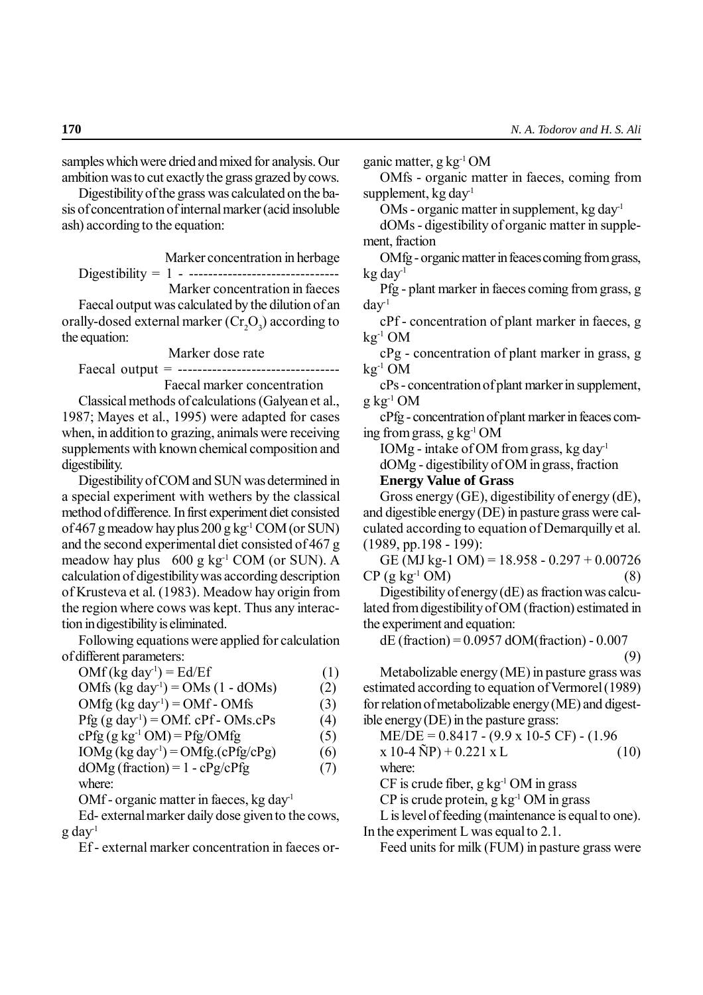samples which were dried and mixed for analysis. Our ambition was to cut exactly the grass grazed by cows.

Digestibility of the grass was calculated on the basis of concentration of internal marker (acid insoluble ash) according to the equation:

Marker concentration in herbage

$$
Digestibility = 1 - \frac{1}{\text{Market concentration in faces}}
$$

Faecal output was calculated by the dilution of an orally-dosed external marker  $(\text{Cr}_2\text{O}_3)$  according to the equation:

Marker dose rate

Faecal output = --------------------------------- Faecal marker concentration

Classical methods of calculations (Galyean et al., 1987; Mayes et al., 1995) were adapted for cases when, in addition to grazing, animals were receiving supplements with known chemical composition and digestibility.

Digestibility of COM and SUN was determined in a special experiment with wethers by the classical method of difference. In first experiment diet consisted of 467 g meadow hay plus 200 g kg-1 COM (or SUN) and the second experimental diet consisted of 467 g meadow hay plus  $600 \text{ g kg}^{-1}$  COM (or SUN). A calculation of digestibility was according description of Krusteva et al. (1983). Meadow hay origin from the region where cows was kept. Thus any interaction in digestibility is eliminated.

Following equations were applied for calculation of different parameters:

| $OMf (kg day1) = Ed/Ef$                             | (1) |
|-----------------------------------------------------|-----|
| OMfs (kg day <sup>1</sup> ) = OMs (1 - dOMs)        | (2) |
| OMfg $(kg \, day1) = OMf - OMfs$                    | (3) |
| $Pfg (g day1) = OMf. cPf - OMs.cPs$                 | (4) |
| $cPfg$ (g kg <sup>-1</sup> OM) = $Pfg$ /OMfg        | (5) |
| IOMg (kg day <sup>1</sup> ) = OMfg.(cPfg/cPg)       | (6) |
| $dOMg$ (fraction) = 1 - $cPg/cPfg$                  | (7) |
| where:                                              |     |
| OMf - organic matter in faeces, kg day <sup>1</sup> |     |
| $Ed$ ovternal marker daily does given to the cows   |     |

Ed- external marker daily dose given to the cows,  $g \, \text{d}$ a $v$ <sup>1</sup>

Ef - external marker concentration in faeces or-

ganic matter, g  $kg^{-1}$  OM

OMfs - organic matter in faeces, coming from supplement,  $kg \, day<sup>1</sup>$ 

OMs - organic matter in supplement, kg day<sup>-1</sup>

dOMs - digestibility of organic matter in supplement, fraction

OMfg - organic matter in feaces coming from grass,  $kg$  day<sup>1</sup>

Pfg - plant marker in faeces coming from grass, g  $dav<sup>1</sup>$ 

cPf - concentration of plant marker in faeces, g  $kg<sup>-1</sup> OM$ 

cPg - concentration of plant marker in grass, g  $kg^{-1}$  OM

cPs - concentration of plant marker in supplement,  $g$  kg<sup>-1</sup> OM

cPfg - concentration of plant marker in feaces coming from grass, g  $kg^{-1}$  OM

IOMg - intake of OM from grass, kg day<sup>1</sup> dOMg - digestibility of OM in grass, fraction **Energy Value of Grass**

Gross energy (GE), digestibility of energy (dE), and digestible energy (DE) in pasture grass were calculated according to equation of Demarquilly et al. (1989, pp.198 - 199):

GE (MJ kg-1 OM) = 18.958 - 0.297 + 0.00726  $CP$  (g kg<sup>-1</sup> OM) (8)

Digestibility of energy (dE) as fraction was calculated from digestibility of OM (fraction) estimated in the experiment and equation:

 $dE$  (fraction) = 0.0957 dOM(fraction) - 0.007

```
 (9)
```
Metabolizable energy (ME) in pasture grass was estimated according to equation of Vermorel (1989) for relation of metabolizable energy (ME) and digestible energy (DE) in the pasture grass:

| $ME/DE = 0.8417 - (9.9 \times 10-5 \text{ CF}) - (1.96$ |      |
|---------------------------------------------------------|------|
| $x 10-4 \tilde{N}P$ + 0.221 x L                         | (10) |
| where:                                                  |      |

CF is crude fiber,  $g \text{ kg}^{-1}$  OM in grass

 $CP$  is crude protein, g kg<sup>-1</sup> OM in grass

L is level of feeding (maintenance is equal to one).

In the experiment L was equal to 2.1.

Feed units for milk (FUM) in pasture grass were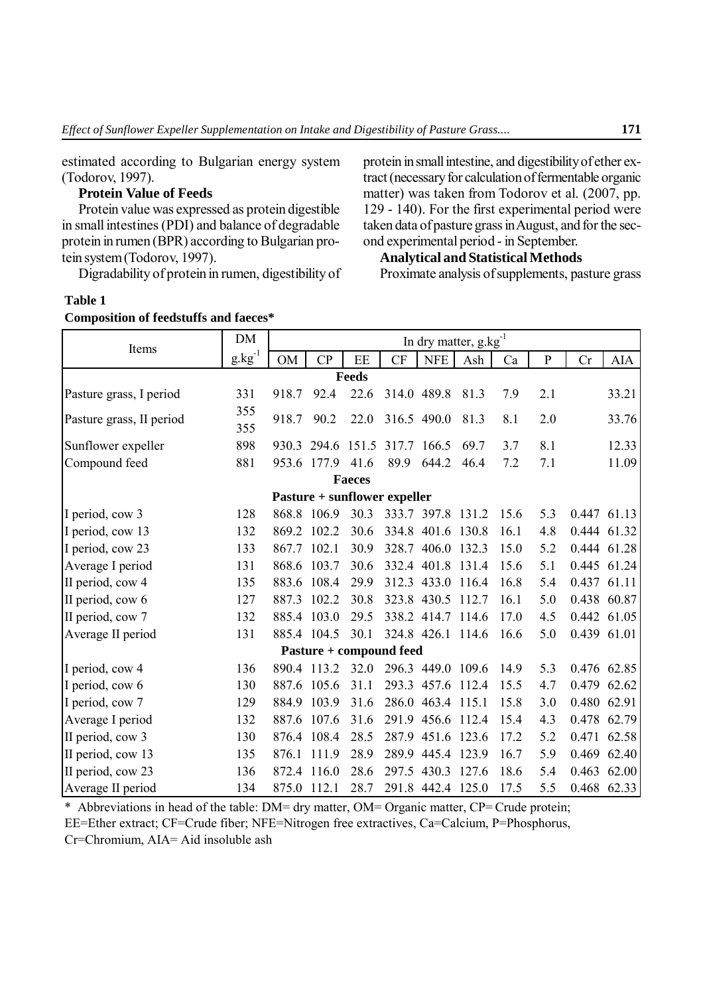estimated according to Bulgarian energy system (Todorov, 1997).

## **Protein Value of Feeds**

Protein value was expressed as protein digestible in small intestines (PDI) and balance of degradable protein in rumen (BPR) according to Bulgarian protein system (Todorov, 1997).

Digradability of protein in rumen, digestibility of

# **Table 1**

**Composition of feedstuffs and faeces\***

protein in small intestine, and digestibility of ether extract (necessary for calculation of fermentable organic matter) was taken from Todorov et al. (2007, pp. 129 - 140). For the first experimental period were taken data of pasture grass in August, and for the second experimental period - in September.

# **Analytical and Statistical Methods**

Proximate analysis of supplements, pasture grass

| Items                    | In dry matter, $g.kg^{-1}$ |           |                                     |               |       |                   |       |      |           |             |             |
|--------------------------|----------------------------|-----------|-------------------------------------|---------------|-------|-------------------|-------|------|-----------|-------------|-------------|
|                          | $g.kg^{-1}$                | <b>OM</b> | CP                                  | EE            | CF    | <b>NFE</b>        | Ash   | Ca   | ${\bf P}$ | Cr          | <b>AIA</b>  |
| <b>Feeds</b>             |                            |           |                                     |               |       |                   |       |      |           |             |             |
| Pasture grass, I period  | 331                        | 918.7     | 92.4                                | 22.6          | 314.0 | 489.8             | 81.3  | 7.9  | 2.1       |             | 33.21       |
| Pasture grass, II period | 355<br>355                 | 918.7     | 90.2                                | 22.0          |       | 316.5 490.0       | 81.3  | 8.1  | 2.0       |             | 33.76       |
| Sunflower expeller       | 898                        | 930.3     | 294.6                               | 151.5         | 317.7 | 166.5             | 69.7  | 3.7  | 8.1       |             | 12.33       |
| Compound feed            | 881                        | 953.6     | 177.9                               | 41.6          | 89.9  | 644.2             | 46.4  | 7.2  | 7.1       |             | 11.09       |
|                          |                            |           |                                     | <b>Faeces</b> |       |                   |       |      |           |             |             |
|                          |                            |           | <b>Pasture + sunflower expeller</b> |               |       |                   |       |      |           |             |             |
| I period, cow 3          | 128                        |           | 868.8 106.9                         | 30.3          |       | 333.7 397.8 131.2 |       | 15.6 | 5.3       |             | 0.447 61.13 |
| I period, cow 13         | 132                        | 869.2     | 102.2                               | 30.6          |       | 334.8 401.6 130.8 |       | 16.1 | 4.8       |             | 0.444 61.32 |
| I period, cow 23         | 133                        | 867.7     | 102.1                               | 30.9          | 328.7 | 406.0             | 132.3 | 15.0 | 5.2       |             | 0.444 61.28 |
| Average I period         | 131                        | 868.6     | 103.7                               | 30.6          | 332.4 | 401.8             | 131.4 | 15.6 | 5.1       |             | 0.445 61.24 |
| II period, cow 4         | 135                        | 883.6     | 108.4                               | 29.9          | 312.3 | 433.0             | 116.4 | 16.8 | 5.4       | 0.437 61.11 |             |
| II period, cow 6         | 127                        | 887.3     | 102.2                               | 30.8          | 323.8 | 430.5             | 112.7 | 16.1 | 5.0       |             | 0.438 60.87 |
| II period, cow 7         | 132                        |           | 885.4 103.0                         | 29.5          |       | 338.2 414.7 114.6 |       | 17.0 | 4.5       |             | 0.442 61.05 |
| Average II period        | 131                        |           | 885.4 104.5                         | 30.1          |       | 324.8 426.1 114.6 |       | 16.6 | 5.0       | 0.439 61.01 |             |
| Pasture + compound feed  |                            |           |                                     |               |       |                   |       |      |           |             |             |
| I period, cow 4          | 136                        |           | 890.4 113.2                         | 32.0          |       | 296.3 449.0 109.6 |       | 14.9 | 5.3       |             | 0.476 62.85 |
| I period, cow 6          | 130                        | 887.6     | 105.6                               | 31.1          | 293.3 | 457.6             | 112.4 | 15.5 | 4.7       |             | 0.479 62.62 |
| I period, cow 7          | 129                        | 884.9     | 103.9                               | 31.6          | 286.0 | 463.4 115.1       |       | 15.8 | 3.0       |             | 0.480 62.91 |
| Average I period         | 132                        | 887.6     | 107.6                               | 31.6          | 291.9 | 456.6             | 112.4 | 15.4 | 4.3       |             | 0.478 62.79 |
| II period, cow 3         | 130                        | 876.4     | 108.4                               | 28.5          | 287.9 | 451.6             | 123.6 | 17.2 | 5.2       |             | 0.471 62.58 |
| II period, cow 13        | 135                        | 876.1     | 111.9                               | 28.9          | 289.9 | 445.4             | 123.9 | 16.7 | 5.9       |             | 0.469 62.40 |
| II period, cow 23        | 136                        |           | 872.4 116.0                         | 28.6          | 297.5 | 430.3             | 127.6 | 18.6 | 5.4       |             | 0.463 62.00 |
| Average II period        | 134                        |           | 875.0 112.1                         | 28.7          |       | 291.8 442.4 125.0 |       | 17.5 | 5.5       |             | 0.468 62.33 |

\* Abbreviations in head of the table: DM= dry matter, OM= Organic matter, CP= Crude protein; EE=Ether extract; CF=Crude fiber; NFE=Nitrogen free extractives, Ca=Calcium, P=Phosphorus,

Cr=Chromium, AIA= Aid insoluble ash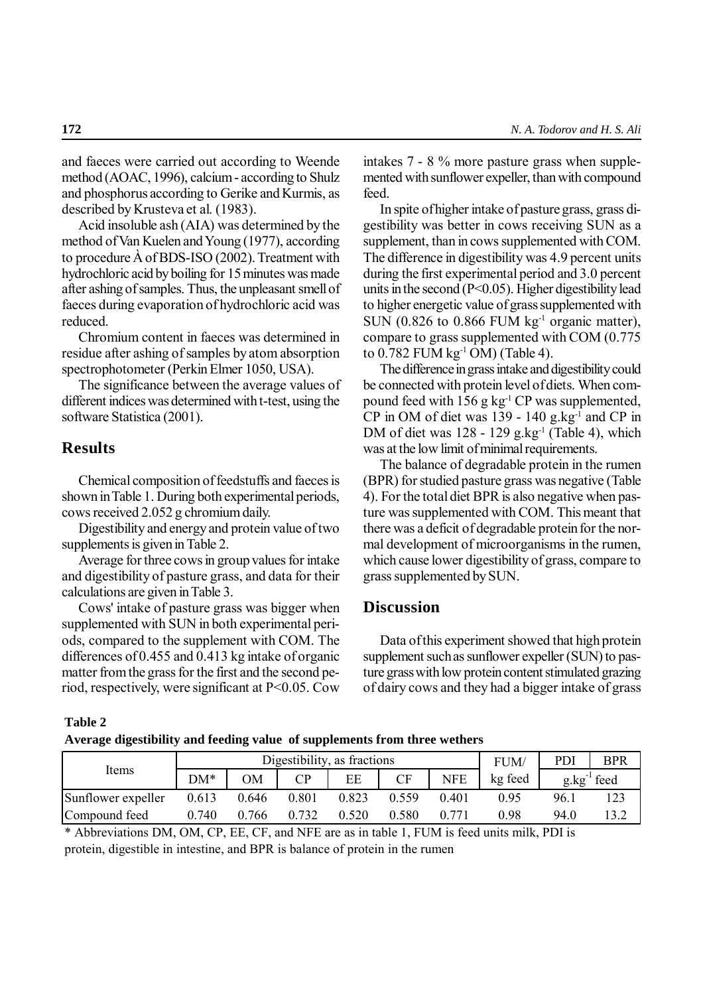and faeces were carried out according to Weende method (AOAC, 1996), calcium - according to Shulz and phosphorus according to Gerike and Kurmis, as described by Krusteva et al. (1983).

Acid insoluble ash (AIA) was determined by the method of Van Kuelen and Young (1977), according to procedure À of BDS-ISO (2002). Treatment with hydrochloric acid by boiling for 15 minutes was made after ashing of samples. Thus, the unpleasant smell of faeces during evaporation of hydrochloric acid was reduced.

Chromium content in faeces was determined in residue after ashing of samples by atom absorption spectrophotometer (Perkin Elmer 1050, USA).

The significance between the average values of different indices was determined with t-test, using the software Statistica (2001).

## **Results**

Chemical composition of feedstuffs and faeces is shown in Table 1. During both experimental periods, cows received 2.052 g chromium daily.

Digestibility and energy and protein value of two supplements is given in Table 2.

Average for three cows in group values for intake and digestibility of pasture grass, and data for their calculations are given in Table 3.

Cows' intake of pasture grass was bigger when supplemented with SUN in both experimental periods, compared to the supplement with COM. The differences of 0.455 and 0.413 kg intake of organic matter from the grass for the first and the second period, respectively, were significant at P<0.05. Cow intakes 7 - 8 % more pasture grass when supplemented with sunflower expeller, than with compound feed.

In spite of higher intake of pasture grass, grass digestibility was better in cows receiving SUN as a supplement, than in cows supplemented with COM. The difference in digestibility was 4.9 percent units during the first experimental period and 3.0 percent units in the second (P<0.05). Higher digestibility lead to higher energetic value of grass supplemented with SUN (0.826 to 0.866 FUM  $kg^{-1}$  organic matter), compare to grass supplemented with COM (0.775 to 0.782 FUM kg-1 OM) (Table 4).

The difference in grass intake and digestibility could be connected with protein level of diets. When compound feed with 156 g kg-1 CP was supplemented, CP in OM of diet was  $139 - 140$  g.kg<sup>-1</sup> and CP in DM of diet was  $128 - 129$  g.kg<sup>-1</sup> (Table 4), which was at the low limit of minimal requirements.

The balance of degradable protein in the rumen (BPR) for studied pasture grass was negative (Table 4). For the total diet BPR is also negative when pasture was supplemented with COM. This meant that there was a deficit of degradable protein for the normal development of microorganisms in the rumen, which cause lower digestibility of grass, compare to grass supplemented by SUN.

## **Discussion**

Data of this experiment showed that high protein supplement such as sunflower expeller (SUN) to pasture grass with low protein content stimulated grazing of dairy cows and they had a bigger intake of grass

#### **Table 2**

**Average digestibility and feeding value of supplements from three wethers** 

| Digestibility, as fractions |       |       |       |       |       | FUM/       | PDI     | <b>BPR</b>                        |     |
|-----------------------------|-------|-------|-------|-------|-------|------------|---------|-----------------------------------|-----|
| Items                       | DM*   | ЭM    |       | EΕ    | CF    | <b>NFE</b> | kg feed | $\cdot$ <sup>1</sup> feed<br>g.kg |     |
| Sunflower expeller          | 0.613 | 0.646 | 0.801 | 0.823 | 0.559 | 0.401      | 0.95    | 96.1                              | 123 |
| Compound feed               | 0.740 | 0.766 | 0.732 | 0.520 | 0.580 |            | 0.98    | 94.0                              | 3.2 |

\* Abbreviations DM, OM, CP, EE, CF, and NFE are as in table 1, FUM is feed units milk, PDI is protein, digestible in intestine, and BPR is balance of protein in the rumen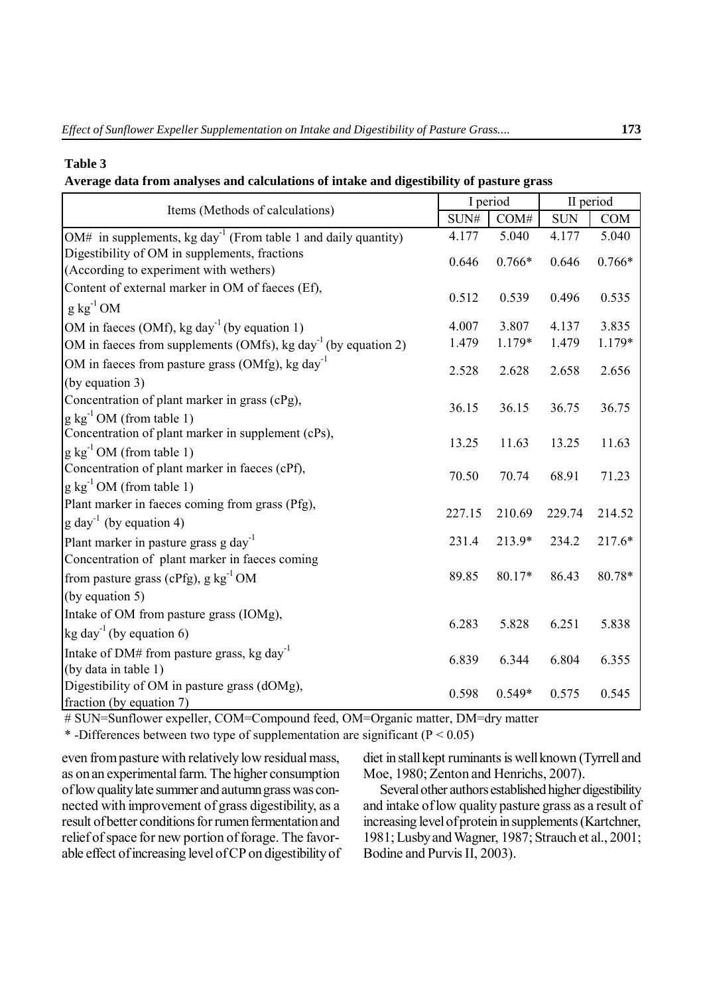#### **Table 3**

#### **Average data from analyses and calculations of intake and digestibility of pasture grass**

|                                                                                                     |                | I period | II period  |            |
|-----------------------------------------------------------------------------------------------------|----------------|----------|------------|------------|
| Items (Methods of calculations)                                                                     | $\text{SUM}\#$ | COM#     | <b>SUN</b> | <b>COM</b> |
| OM# in supplements, $kg \, day^{-1}$ (From table 1 and daily quantity)                              | 4.177          | 5.040    | 4.177      | 5.040      |
| Digestibility of OM in supplements, fractions<br>(According to experiment with wethers)             | 0.646          | $0.766*$ | 0.646      | $0.766*$   |
| Content of external marker in OM of faeces (Ef),<br>$g\ kg^{-1}$ OM                                 | 0.512          | 0.539    | 0.496      | 0.535      |
| OM in faeces (OMf), kg day <sup>-1</sup> (by equation 1)                                            | 4.007          | 3.807    | 4.137      | 3.835      |
| OM in facces from supplements (OMfs), kg day <sup>-1</sup> (by equation 2)                          | 1.479          | 1.179*   | 1.479      | 1.179*     |
| OM in faeces from pasture grass (OMfg), kg day <sup>-1</sup><br>(by equation 3)                     | 2.528          | 2.628    | 2.658      | 2.656      |
| Concentration of plant marker in grass (cPg),<br>$g \text{ kg}^{-1}$ OM (from table 1)              | 36.15          | 36.15    | 36.75      | 36.75      |
| Concentration of plant marker in supplement (cPs),<br>$g \text{ kg}^{-1}$ OM (from table 1)         | 13.25          | 11.63    | 13.25      | 11.63      |
| Concentration of plant marker in faeces (cPf),<br>$g \text{ kg}^{-1}$ OM (from table 1)             | 70.50          | 70.74    | 68.91      | 71.23      |
| Plant marker in faeces coming from grass (Pfg),<br>$g \, \text{day}^{-1}$ (by equation 4)           | 227.15         | 210.69   | 229.74     | 214.52     |
| Plant marker in pasture grass g day <sup>-1</sup><br>Concentration of plant marker in faeces coming | 231.4          | 213.9*   | 234.2      | 217.6*     |
| from pasture grass (cPfg), $g kg^{-1} OM$<br>(by equation 5)                                        | 89.85          | 80.17*   | 86.43      | 80.78*     |
| Intake of OM from pasture grass (IOMg),<br>kg day <sup>-1</sup> (by equation 6)                     | 6.283          | 5.828    | 6.251      | 5.838      |
| Intake of DM# from pasture grass, kg day <sup>-1</sup><br>(by data in table 1)                      | 6.839          | 6.344    | 6.804      | 6.355      |
| Digestibility of OM in pasture grass (dOMg),<br>fraction (by equation 7)                            | 0.598          | $0.549*$ | 0.575      | 0.545      |

# SUN=Sunflower expeller, COM=Compound feed, OM=Organic matter, DM=dry matter

\* -Differences between two type of supplementation are significant ( $P < 0.05$ )

even from pasture with relatively low residual mass, as on an experimental farm. The higher consumption of low quality late summer and autumn grass was connected with improvement of grass digestibility, as a result of better conditions for rumen fermentation and relief of space for new portion of forage. The favorable effect of increasing level of CP on digestibility of

diet in stall kept ruminants is well known (Tyrrell and Moe, 1980; Zenton and Henrichs, 2007).

Several other authors established higher digestibility and intake of low quality pasture grass as a result of increasing level of protein in supplements (Kartchner, 1981; Lusby and Wagner, 1987; Strauch et al., 2001; Bodine and Purvis II, 2003).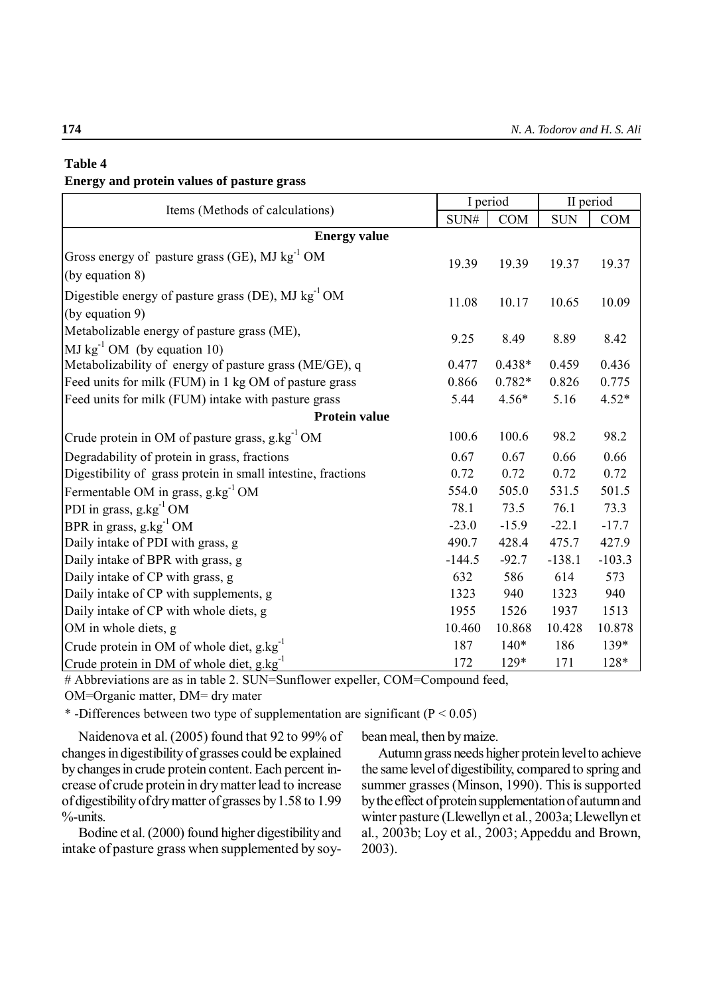### **Table 4**

### **Energy and protein values of pasture grass**

|                                                                                 |          | I period   | II period  |            |
|---------------------------------------------------------------------------------|----------|------------|------------|------------|
| Items (Methods of calculations)                                                 | SUN#     | <b>COM</b> | <b>SUN</b> | <b>COM</b> |
| <b>Energy value</b>                                                             |          |            |            |            |
| Gross energy of pasture grass (GE), MJ $kg^{-1}$ OM<br>(by equation 8)          | 19.39    | 19.39      | 19.37      | 19.37      |
| Digestible energy of pasture grass (DE), MJ $kg^{-1}$ OM<br>(by equation 9)     | 11.08    | 10.17      | 10.65      | 10.09      |
| Metabolizable energy of pasture grass (ME),<br>$MJ kg^{-1} OM$ (by equation 10) | 9.25     | 8.49       | 8.89       | 8.42       |
| Metabolizability of energy of pasture grass (ME/GE), q                          | 0.477    | $0.438*$   | 0.459      | 0.436      |
| Feed units for milk (FUM) in 1 kg OM of pasture grass                           | 0.866    | $0.782*$   | 0.826      | 0.775      |
| Feed units for milk (FUM) intake with pasture grass                             | 5.44     | $4.56*$    | 5.16       | $4.52*$    |
| <b>Protein value</b>                                                            |          |            |            |            |
| Crude protein in OM of pasture grass, g.kg <sup>-1</sup> OM                     | 100.6    | 100.6      | 98.2       | 98.2       |
| Degradability of protein in grass, fractions                                    | 0.67     | 0.67       | 0.66       | 0.66       |
| Digestibility of grass protein in small intestine, fractions                    | 0.72     | 0.72       | 0.72       | 0.72       |
| Fermentable OM in grass, g.kg <sup>-1</sup> OM                                  | 554.0    | 505.0      | 531.5      | 501.5      |
| PDI in grass, $g.kg^{-1}$ OM                                                    | 78.1     | 73.5       | 76.1       | 73.3       |
| BPR in grass, $g.kg^{-1}OM$                                                     | $-23.0$  | $-15.9$    | $-22.1$    | $-17.7$    |
| Daily intake of PDI with grass, g                                               | 490.7    | 428.4      | 475.7      | 427.9      |
| Daily intake of BPR with grass, g                                               | $-144.5$ | $-92.7$    | $-138.1$   | $-103.3$   |
| Daily intake of CP with grass, g                                                | 632      | 586        | 614        | 573        |
| Daily intake of CP with supplements, g                                          | 1323     | 940        | 1323       | 940        |
| Daily intake of CP with whole diets, g                                          | 1955     | 1526       | 1937       | 1513       |
| OM in whole diets, g                                                            | 10.460   | 10.868     | 10.428     | 10.878     |
| Crude protein in OM of whole diet, g.kg <sup>-1</sup>                           | 187      | $140*$     | 186        | 139*       |
| Crude protein in DM of whole diet, g.kg <sup>-1</sup>                           | 172      | 129*       | 171        | 128*       |

# Abbreviations are as in table 2. SUN=Sunflower expeller, COM=Compound feed, OM=Organic matter, DM= dry mater

\* -Differences between two type of supplementation are significant ( $P < 0.05$ )

Naidenova et al. (2005) found that 92 to 99% of changes in digestibility of grasses could be explained by changes in crude protein content. Each percent increase of crude protein in dry matter lead to increase of digestibility of dry matter of grasses by 1.58 to 1.99 %-units.

Bodine et al. (2000) found higher digestibility and intake of pasture grass when supplemented by soybean meal, then by maize.

Autumn grass needs higher protein level to achieve the same level of digestibility, compared to spring and summer grasses (Minson, 1990). This is supported by the effect of protein supplementation of autumn and winter pasture (Llewellyn et al., 2003a; Llewellyn et al., 2003b; Loy et al., 2003; Appeddu and Brown, 2003).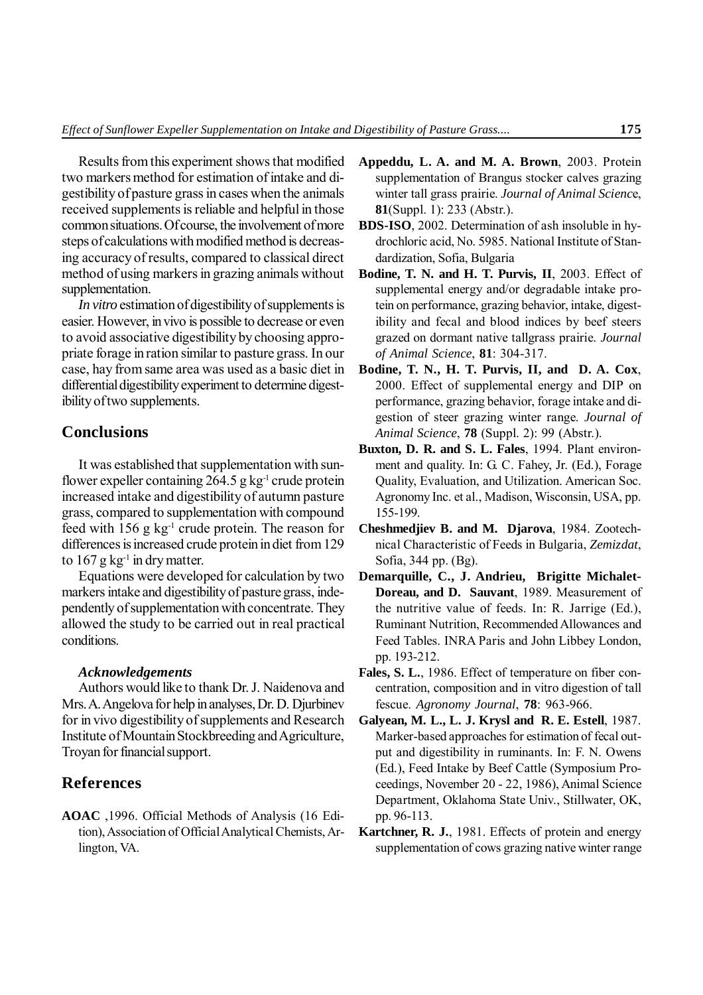Results from this experiment shows that modified two markers method for estimation of intake and digestibility of pasture grass in cases when the animals received supplements is reliable and helpful in those common situations. Of course, the involvement of more steps of calculations with modified method is decreasing accuracy of results, compared to classical direct method of using markers in grazing animals without supplementation.

*In vitro* estimation of digestibility of supplements is easier. However, in vivo is possible to decrease or even to avoid associative digestibility by choosing appropriate forage in ration similar to pasture grass. In our case, hay from same area was used as a basic diet in differential digestibility experiment to determine digestibility of two supplements.

## **Conclusions**

It was established that supplementation with sunflower expeller containing  $264.5$  g kg<sup>-1</sup> crude protein increased intake and digestibility of autumn pasture grass, compared to supplementation with compound feed with 156 g kg-1 crude protein. The reason for differences is increased crude protein in diet from 129 to  $167$  g kg<sup>-1</sup> in dry matter.

Equations were developed for calculation by two markers intake and digestibility of pasture grass, independently of supplementation with concentrate. They allowed the study to be carried out in real practical conditions.

#### *Acknowledgements*

Authors would like to thank Dr. J. Naidenova and Mrs. A. Angelova for help in analyses, Dr. D. Djurbinev for in vivo digestibility of supplements and Research Institute of Mountain Stockbreeding and Agriculture, Troyan for financial support.

## **References**

**AOAC** ,1996. Official Methods of Analysis (16 Edition), Association of Official Analytical Chemists, Arlington, VA.

- **Appeddu, L. A. and M. A. Brown**, 2003. Protein supplementation of Brangus stocker calves grazing winter tall grass prairie. *Journal of Animal Scienc*e, **81**(Suppl. 1): 233 (Abstr.).
- **BDS-ISO**, 2002. Determination of ash insoluble in hydrochloric acid, No. 5985. National Institute of Standardization, Sofia, Bulgaria
- **Bodine, T. N. and H. T. Purvis, II**, 2003. Effect of supplemental energy and/or degradable intake protein on performance, grazing behavior, intake, digestibility and fecal and blood indices by beef steers grazed on dormant native tallgrass prairie. *Journal of Animal Science*, **81**: 304-317.
- **Bodine, T. N., H. T. Purvis, II, and D. A. Cox**, 2000. Effect of supplemental energy and DIP on performance, grazing behavior, forage intake and digestion of steer grazing winter range. *Journal of Animal Science*, **78** (Suppl. 2): 99 (Abstr.).
- **Buxton, D. R. and S. L. Fales**, 1994. Plant environment and quality. In: G. C. Fahey, Jr. (Ed.), Forage Quality, Evaluation, and Utilization. American Soc. Agronomy Inc. et al., Madison, Wisconsin, USA, pp. 155-199.
- **Cheshmedjiev B. and M. Djarova**, 1984. Zootechnical Characteristic of Feeds in Bulgaria, *Zemizdat*, Sofia, 344 pp. (Bg).
- **Demarquille, C., J. Andrieu, Brigitte Michalet-Doreau, and D. Sauvant**, 1989. Measurement of the nutritive value of feeds. In: R. Jarrige (Ed.), Ruminant Nutrition, Recommended Allowances and Feed Tables. INRA Paris and John Libbey London, pp. 193-212.
- **Fales, S. L.**, 1986. Effect of temperature on fiber concentration, composition and in vitro digestion of tall fescue. *Agronomy Journal*, **78**: 963-966.
- **Galyean, M. L., L. J. Krysl and R. E. Estell**, 1987. Marker-based approaches for estimation of fecal output and digestibility in ruminants. In: F. N. Owens (Ed.), Feed Intake by Beef Cattle (Symposium Proceedings, November 20 - 22, 1986), Animal Science Department, Oklahoma State Univ., Stillwater, OK, pp. 96-113.
- **Kartchner, R. J.**, 1981. Effects of protein and energy supplementation of cows grazing native winter range